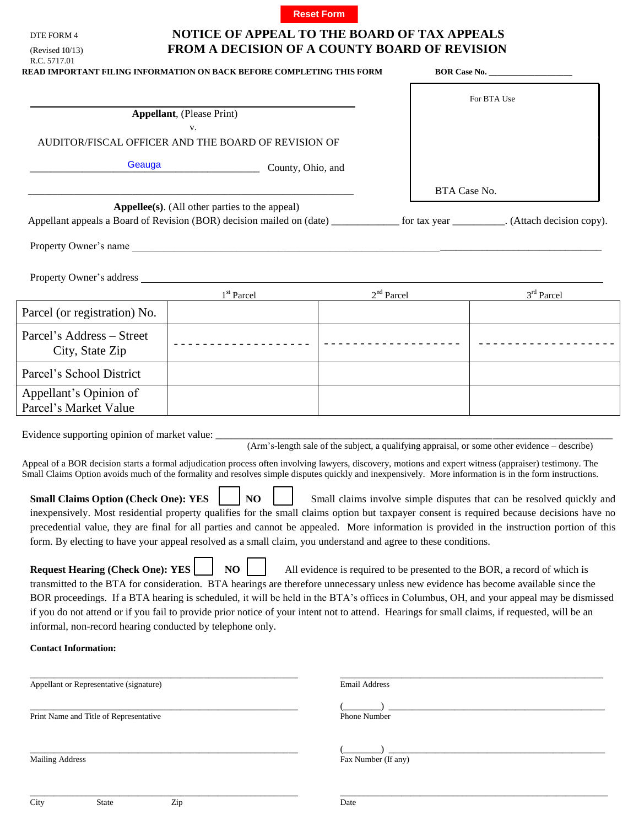

## **NOTICE OF APPEAL TO THE BOARD OF TAX APPEALS FROM A DECISION OF A COUNTY BOARD OF REVISION**

| R.C. 5717.01<br><b>READ IMPORTANT FILING INFORMATION ON BACK BEFORE COMPLETING THIS FORM</b>                                                                                                                                                                                                                                                                                                          |                                                     |    |                      | BOR Case No. |                                                                                                                                                                                                                                                                                                                                                                  |
|-------------------------------------------------------------------------------------------------------------------------------------------------------------------------------------------------------------------------------------------------------------------------------------------------------------------------------------------------------------------------------------------------------|-----------------------------------------------------|----|----------------------|--------------|------------------------------------------------------------------------------------------------------------------------------------------------------------------------------------------------------------------------------------------------------------------------------------------------------------------------------------------------------------------|
|                                                                                                                                                                                                                                                                                                                                                                                                       |                                                     |    |                      |              | For BTA Use                                                                                                                                                                                                                                                                                                                                                      |
| <b>Appellant</b> , (Please Print)<br>V.                                                                                                                                                                                                                                                                                                                                                               |                                                     |    |                      |              |                                                                                                                                                                                                                                                                                                                                                                  |
| AUDITOR/FISCAL OFFICER AND THE BOARD OF REVISION OF                                                                                                                                                                                                                                                                                                                                                   |                                                     |    |                      |              |                                                                                                                                                                                                                                                                                                                                                                  |
| Geauga<br>County, Ohio, and                                                                                                                                                                                                                                                                                                                                                                           |                                                     |    |                      |              |                                                                                                                                                                                                                                                                                                                                                                  |
|                                                                                                                                                                                                                                                                                                                                                                                                       |                                                     |    |                      | BTA Case No. |                                                                                                                                                                                                                                                                                                                                                                  |
|                                                                                                                                                                                                                                                                                                                                                                                                       | $\bf{Apple(s)}$ . (All other parties to the appeal) |    |                      |              | Appellant appeals a Board of Revision (BOR) decision mailed on (date) ___________ for tax year ________. (Attach decision copy).                                                                                                                                                                                                                                 |
|                                                                                                                                                                                                                                                                                                                                                                                                       |                                                     |    |                      |              |                                                                                                                                                                                                                                                                                                                                                                  |
|                                                                                                                                                                                                                                                                                                                                                                                                       |                                                     |    |                      |              |                                                                                                                                                                                                                                                                                                                                                                  |
| Property Owner's address experiences and the state of the state of the state of the state of the state of the state of the state of the state of the state of the state of the state of the state of the state of the state of                                                                                                                                                                        | 1 <sup>st</sup> Parcel                              |    |                      | $2nd$ Parcel | $3^{\rm rd}$ Parcel                                                                                                                                                                                                                                                                                                                                              |
| Parcel (or registration) No.                                                                                                                                                                                                                                                                                                                                                                          |                                                     |    |                      |              |                                                                                                                                                                                                                                                                                                                                                                  |
| Parcel's Address - Street<br>City, State Zip                                                                                                                                                                                                                                                                                                                                                          |                                                     |    |                      |              |                                                                                                                                                                                                                                                                                                                                                                  |
| Parcel's School District                                                                                                                                                                                                                                                                                                                                                                              |                                                     |    |                      |              |                                                                                                                                                                                                                                                                                                                                                                  |
| Appellant's Opinion of<br>Parcel's Market Value                                                                                                                                                                                                                                                                                                                                                       |                                                     |    |                      |              |                                                                                                                                                                                                                                                                                                                                                                  |
| Evidence supporting opinion of market value: ___________________________________<br>Appeal of a BOR decision starts a formal adjudication process often involving lawyers, discovery, motions and expert witness (appraiser) testimony. The<br>Small Claims Option avoids much of the formality and resolves simple disputes quickly and inexpensively. More information is in the form instructions. |                                                     |    |                      |              | (Arm's-length sale of the subject, a qualifying appraisal, or some other evidence – describe)                                                                                                                                                                                                                                                                    |
| <b>Small Claims Option (Check One): YES</b><br>form. By electing to have your appeal resolved as a small claim, you understand and agree to these conditions.                                                                                                                                                                                                                                         |                                                     | NO |                      |              | Small claims involve simple disputes that can be resolved quickly and<br>inexpensively. Most residential property qualifies for the small claims option but taxpayer consent is required because decisions have no<br>precedential value, they are final for all parties and cannot be appealed. More information is provided in the instruction portion of this |
| <b>Request Hearing (Check One): YES</b>                                                                                                                                                                                                                                                                                                                                                               | NO                                                  |    |                      |              | All evidence is required to be presented to the BOR, a record of which is                                                                                                                                                                                                                                                                                        |
| transmitted to the BTA for consideration. BTA hearings are therefore unnecessary unless new evidence has become available since the<br>if you do not attend or if you fail to provide prior notice of your intent not to attend. Hearings for small claims, if requested, will be an<br>informal, non-record hearing conducted by telephone only.                                                     |                                                     |    |                      |              |                                                                                                                                                                                                                                                                                                                                                                  |
| <b>Contact Information:</b>                                                                                                                                                                                                                                                                                                                                                                           |                                                     |    |                      |              | BOR proceedings. If a BTA hearing is scheduled, it will be held in the BTA's offices in Columbus, OH, and your appeal may be dismissed                                                                                                                                                                                                                           |
| Appellant or Representative (signature)                                                                                                                                                                                                                                                                                                                                                               |                                                     |    | <b>Email Address</b> |              |                                                                                                                                                                                                                                                                                                                                                                  |
| Print Name and Title of Representative                                                                                                                                                                                                                                                                                                                                                                |                                                     |    | Phone Number         |              |                                                                                                                                                                                                                                                                                                                                                                  |

DTE FORM 4

City State Zip Date